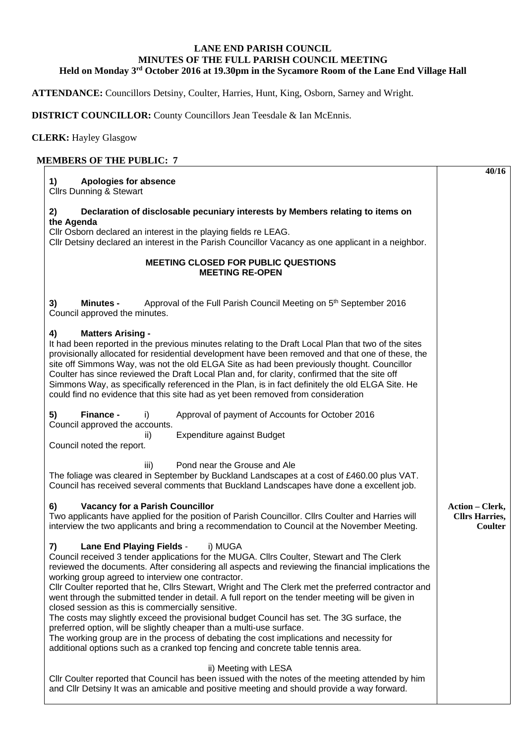## **LANE END PARISH COUNCIL MINUTES OF THE FULL PARISH COUNCIL MEETING Held on Monday 3rd October 2016 at 19.30pm in the Sycamore Room of the Lane End Village Hall**

**ATTENDANCE:** Councillors Detsiny, Coulter, Harries, Hunt, King, Osborn, Sarney and Wright.

**DISTRICT COUNCILLOR:** County Councillors Jean Teesdale & Ian McEnnis.

**CLERK:** Hayley Glasgow

## **MEMBERS OF THE PUBLIC: 7**

|                                                                                                                                                                                                                                                                                                                                                                                                                                                                                                                                                                                                                                                                                                                                                                                                                                                                                                                                 | 40/16                                                      |
|---------------------------------------------------------------------------------------------------------------------------------------------------------------------------------------------------------------------------------------------------------------------------------------------------------------------------------------------------------------------------------------------------------------------------------------------------------------------------------------------------------------------------------------------------------------------------------------------------------------------------------------------------------------------------------------------------------------------------------------------------------------------------------------------------------------------------------------------------------------------------------------------------------------------------------|------------------------------------------------------------|
| 1)<br><b>Apologies for absence</b><br><b>Cllrs Dunning &amp; Stewart</b>                                                                                                                                                                                                                                                                                                                                                                                                                                                                                                                                                                                                                                                                                                                                                                                                                                                        |                                                            |
|                                                                                                                                                                                                                                                                                                                                                                                                                                                                                                                                                                                                                                                                                                                                                                                                                                                                                                                                 |                                                            |
| 2)<br>Declaration of disclosable pecuniary interests by Members relating to items on<br>the Agenda                                                                                                                                                                                                                                                                                                                                                                                                                                                                                                                                                                                                                                                                                                                                                                                                                              |                                                            |
| Cllr Osborn declared an interest in the playing fields re LEAG.<br>Cllr Detsiny declared an interest in the Parish Councillor Vacancy as one applicant in a neighbor.                                                                                                                                                                                                                                                                                                                                                                                                                                                                                                                                                                                                                                                                                                                                                           |                                                            |
| <b>MEETING CLOSED FOR PUBLIC QUESTIONS</b><br><b>MEETING RE-OPEN</b>                                                                                                                                                                                                                                                                                                                                                                                                                                                                                                                                                                                                                                                                                                                                                                                                                                                            |                                                            |
| Approval of the Full Parish Council Meeting on 5 <sup>th</sup> September 2016<br>3)<br><b>Minutes -</b><br>Council approved the minutes.                                                                                                                                                                                                                                                                                                                                                                                                                                                                                                                                                                                                                                                                                                                                                                                        |                                                            |
| <b>Matters Arising -</b><br>4)<br>It had been reported in the previous minutes relating to the Draft Local Plan that two of the sites<br>provisionally allocated for residential development have been removed and that one of these, the<br>site off Simmons Way, was not the old ELGA Site as had been previously thought. Councillor<br>Coulter has since reviewed the Draft Local Plan and, for clarity, confirmed that the site off<br>Simmons Way, as specifically referenced in the Plan, is in fact definitely the old ELGA Site. He<br>could find no evidence that this site had as yet been removed from consideration                                                                                                                                                                                                                                                                                                |                                                            |
| Finance -<br>5)<br>Approval of payment of Accounts for October 2016<br>i)<br>Council approved the accounts.<br><b>Expenditure against Budget</b><br>ii)<br>Council noted the report.                                                                                                                                                                                                                                                                                                                                                                                                                                                                                                                                                                                                                                                                                                                                            |                                                            |
| iii)<br>Pond near the Grouse and Ale<br>The foliage was cleared in September by Buckland Landscapes at a cost of £460.00 plus VAT.<br>Council has received several comments that Buckland Landscapes have done a excellent job.                                                                                                                                                                                                                                                                                                                                                                                                                                                                                                                                                                                                                                                                                                 |                                                            |
| 6)<br><b>Vacancy for a Parish Councillor</b><br>Two applicants have applied for the position of Parish Councillor. Cllrs Coulter and Harries will<br>interview the two applicants and bring a recommendation to Council at the November Meeting.                                                                                                                                                                                                                                                                                                                                                                                                                                                                                                                                                                                                                                                                                | <b>Action – Clerk,</b><br><b>Cllrs Harries,</b><br>Coulter |
| <b>Lane End Playing Fields -</b><br>i) MUGA<br>7)<br>Council received 3 tender applications for the MUGA. Cllrs Coulter, Stewart and The Clerk<br>reviewed the documents. After considering all aspects and reviewing the financial implications the<br>working group agreed to interview one contractor.<br>Cllr Coulter reported that he, Cllrs Stewart, Wright and The Clerk met the preferred contractor and<br>went through the submitted tender in detail. A full report on the tender meeting will be given in<br>closed session as this is commercially sensitive.<br>The costs may slightly exceed the provisional budget Council has set. The 3G surface, the<br>preferred option, will be slightly cheaper than a multi-use surface.<br>The working group are in the process of debating the cost implications and necessity for<br>additional options such as a cranked top fencing and concrete table tennis area. |                                                            |
| ii) Meeting with LESA<br>CIIr Coulter reported that Council has been issued with the notes of the meeting attended by him<br>and CIIr Detsiny It was an amicable and positive meeting and should provide a way forward.                                                                                                                                                                                                                                                                                                                                                                                                                                                                                                                                                                                                                                                                                                         |                                                            |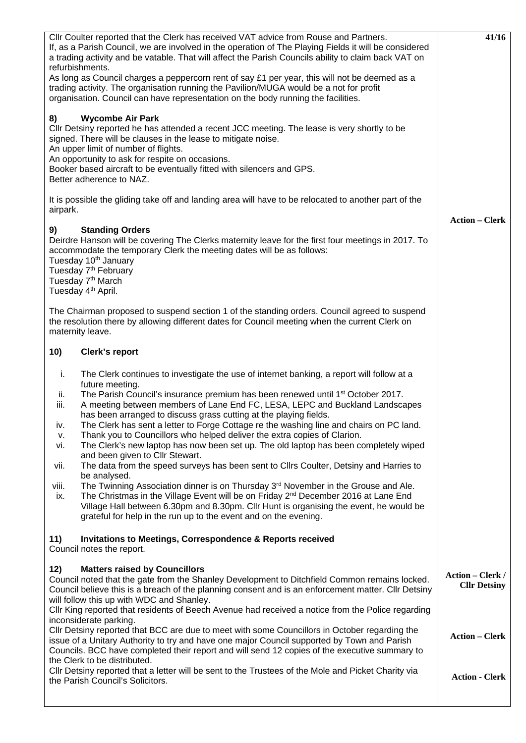| CIIr Coulter reported that the Clerk has received VAT advice from Rouse and Partners.<br>If, as a Parish Council, we are involved in the operation of The Playing Fields it will be considered<br>a trading activity and be vatable. That will affect the Parish Councils ability to claim back VAT on<br>refurbishments.<br>As long as Council charges a peppercorn rent of say $£1$ per year, this will not be deemed as a<br>trading activity. The organisation running the Pavilion/MUGA would be a not for profit<br>organisation. Council can have representation on the body running the facilities.<br><b>Wycombe Air Park</b><br>8)<br>Cllr Detsiny reported he has attended a recent JCC meeting. The lease is very shortly to be<br>signed. There will be clauses in the lease to mitigate noise.<br>An upper limit of number of flights.<br>An opportunity to ask for respite on occasions.<br>Booker based aircraft to be eventually fitted with silencers and GPS.<br>Better adherence to NAZ.                                                                                                                                                                                                    | 41/16                                   |
|-----------------------------------------------------------------------------------------------------------------------------------------------------------------------------------------------------------------------------------------------------------------------------------------------------------------------------------------------------------------------------------------------------------------------------------------------------------------------------------------------------------------------------------------------------------------------------------------------------------------------------------------------------------------------------------------------------------------------------------------------------------------------------------------------------------------------------------------------------------------------------------------------------------------------------------------------------------------------------------------------------------------------------------------------------------------------------------------------------------------------------------------------------------------------------------------------------------------|-----------------------------------------|
| It is possible the gliding take off and landing area will have to be relocated to another part of the<br>airpark.                                                                                                                                                                                                                                                                                                                                                                                                                                                                                                                                                                                                                                                                                                                                                                                                                                                                                                                                                                                                                                                                                               | <b>Action – Clerk</b>                   |
| 9)<br><b>Standing Orders</b><br>Deirdre Hanson will be covering The Clerks maternity leave for the first four meetings in 2017. To<br>accommodate the temporary Clerk the meeting dates will be as follows:<br>Tuesday 10 <sup>th</sup> January<br>Tuesday 7 <sup>th</sup> February<br>Tuesday 7 <sup>th</sup> March<br>Tuesday 4 <sup>th</sup> April.                                                                                                                                                                                                                                                                                                                                                                                                                                                                                                                                                                                                                                                                                                                                                                                                                                                          |                                         |
| The Chairman proposed to suspend section 1 of the standing orders. Council agreed to suspend<br>the resolution there by allowing different dates for Council meeting when the current Clerk on<br>maternity leave.                                                                                                                                                                                                                                                                                                                                                                                                                                                                                                                                                                                                                                                                                                                                                                                                                                                                                                                                                                                              |                                         |
| 10)<br><b>Clerk's report</b>                                                                                                                                                                                                                                                                                                                                                                                                                                                                                                                                                                                                                                                                                                                                                                                                                                                                                                                                                                                                                                                                                                                                                                                    |                                         |
| i.<br>The Clerk continues to investigate the use of internet banking, a report will follow at a<br>future meeting.<br>The Parish Council's insurance premium has been renewed until 1 <sup>st</sup> October 2017.<br>ii.<br>iii.<br>A meeting between members of Lane End FC, LESA, LEPC and Buckland Landscapes<br>has been arranged to discuss grass cutting at the playing fields.<br>The Clerk has sent a letter to Forge Cottage re the washing line and chairs on PC land.<br>IV.<br>Thank you to Councillors who helped deliver the extra copies of Clarion.<br>ν.<br>The Clerk's new laptop has now been set up. The old laptop has been completely wiped<br>vi.<br>and been given to Cllr Stewart.<br>The data from the speed surveys has been sent to Cllrs Coulter, Detsiny and Harries to<br>vii.<br>be analysed.<br>The Twinning Association dinner is on Thursday 3 <sup>rd</sup> November in the Grouse and Ale.<br>viii.<br>The Christmas in the Village Event will be on Friday 2 <sup>nd</sup> December 2016 at Lane End<br>ix.<br>Village Hall between 6.30pm and 8.30pm. Cllr Hunt is organising the event, he would be<br>grateful for help in the run up to the event and on the evening. |                                         |
| Invitations to Meetings, Correspondence & Reports received<br>11)<br>Council notes the report.                                                                                                                                                                                                                                                                                                                                                                                                                                                                                                                                                                                                                                                                                                                                                                                                                                                                                                                                                                                                                                                                                                                  |                                         |
| <b>Matters raised by Councillors</b><br>12)<br>Council noted that the gate from the Shanley Development to Ditchfield Common remains locked.<br>Council believe this is a breach of the planning consent and is an enforcement matter. Cllr Detsiny<br>will follow this up with WDC and Shanley.<br>Cllr King reported that residents of Beech Avenue had received a notice from the Police regarding<br>inconsiderate parking.                                                                                                                                                                                                                                                                                                                                                                                                                                                                                                                                                                                                                                                                                                                                                                                 | Action - Clerk /<br><b>Cllr Detsiny</b> |
| CIIr Detsiny reported that BCC are due to meet with some Councillors in October regarding the<br>issue of a Unitary Authority to try and have one major Council supported by Town and Parish<br>Councils. BCC have completed their report and will send 12 copies of the executive summary to<br>the Clerk to be distributed.                                                                                                                                                                                                                                                                                                                                                                                                                                                                                                                                                                                                                                                                                                                                                                                                                                                                                   | <b>Action - Clerk</b>                   |
| CIIr Detsiny reported that a letter will be sent to the Trustees of the Mole and Picket Charity via<br>the Parish Council's Solicitors.                                                                                                                                                                                                                                                                                                                                                                                                                                                                                                                                                                                                                                                                                                                                                                                                                                                                                                                                                                                                                                                                         | <b>Action - Clerk</b>                   |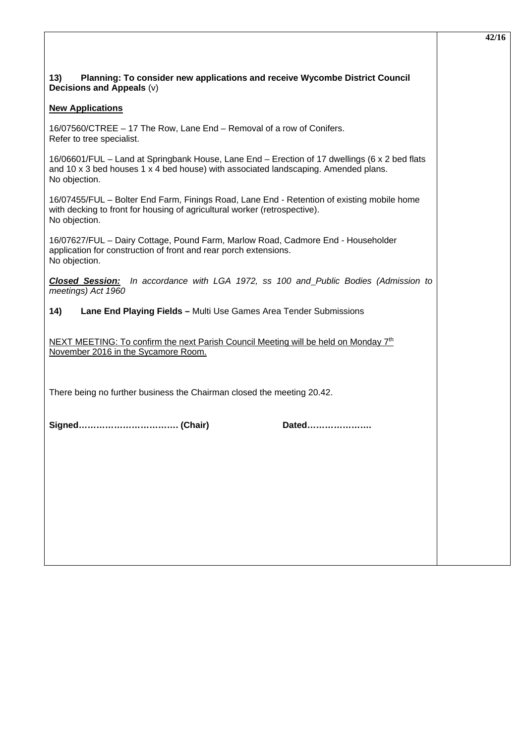| Planning: To consider new applications and receive Wycombe District Council<br>13)<br>Decisions and Appeals (v)                                                                                      |
|------------------------------------------------------------------------------------------------------------------------------------------------------------------------------------------------------|
| <b>New Applications</b>                                                                                                                                                                              |
| 16/07560/CTREE - 17 The Row, Lane End - Removal of a row of Conifers.<br>Refer to tree specialist.                                                                                                   |
| 16/06601/FUL – Land at Springbank House, Lane End – Erection of 17 dwellings (6 x 2 bed flats<br>and 10 x 3 bed houses 1 x 4 bed house) with associated landscaping. Amended plans.<br>No objection. |
| 16/07455/FUL - Bolter End Farm, Finings Road, Lane End - Retention of existing mobile home<br>with decking to front for housing of agricultural worker (retrospective).<br>No objection.             |
| 16/07627/FUL - Dairy Cottage, Pound Farm, Marlow Road, Cadmore End - Householder<br>application for construction of front and rear porch extensions.<br>No objection.                                |
| In accordance with LGA 1972, ss 100 and Public Bodies (Admission to<br><b>Closed Session:</b><br>meetings) Act 1960                                                                                  |
| Lane End Playing Fields - Multi Use Games Area Tender Submissions<br>14)                                                                                                                             |
| NEXT MEETING: To confirm the next Parish Council Meeting will be held on Monday 7 <sup>th</sup><br>November 2016 in the Sycamore Room.                                                               |
| There being no further business the Chairman closed the meeting 20.42.                                                                                                                               |
| Dated                                                                                                                                                                                                |
|                                                                                                                                                                                                      |
|                                                                                                                                                                                                      |
|                                                                                                                                                                                                      |
|                                                                                                                                                                                                      |
|                                                                                                                                                                                                      |
|                                                                                                                                                                                                      |

**42/16**